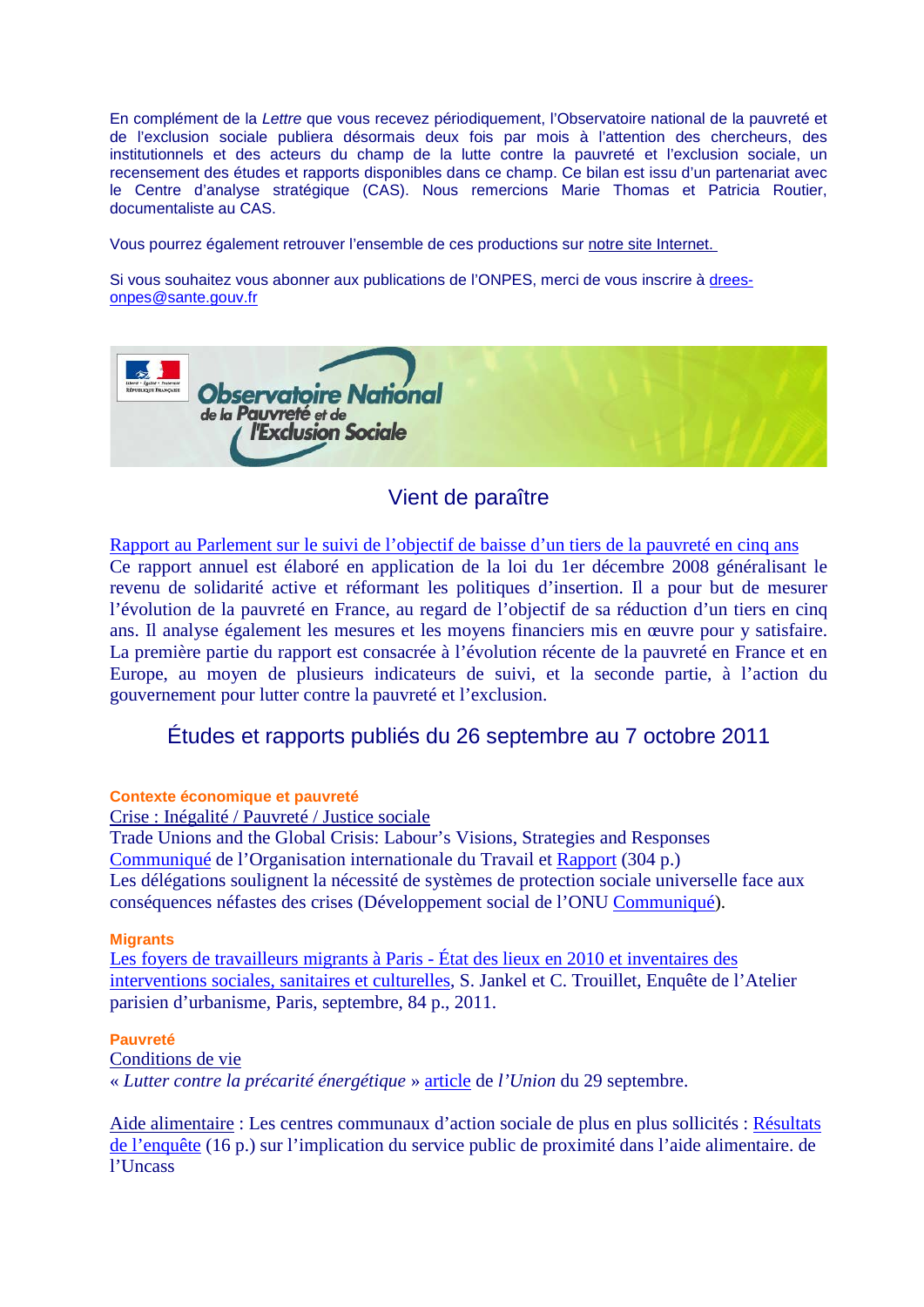En complément de la *Lettre* que vous recevez périodiquement, l'Observatoire national de la pauvreté et de l'exclusion sociale publiera désormais deux fois par mois à l'attention des chercheurs, des institutionnels et des acteurs du champ de la lutte contre la pauvreté et l'exclusion sociale, un recensement des études et rapports disponibles dans ce champ. Ce bilan est issu d'un partenariat avec le Centre d'analyse stratégique (CAS). Nous remercions Marie Thomas et Patricia Routier, documentaliste au CAS.

Vous pourrez également retrouver l'ensemble de ces productions sur [notre site Internet.](http://www.onpes.gouv.fr/) 

Si vous souhaitez vous abonner aux publications de l'ONPES, merci de vous inscrire à [drees](mailto:drees-onpes@sante.gouv.fr)[onpes@sante.gouv.fr](mailto:drees-onpes@sante.gouv.fr)



# Vient de paraître

[Rapport au Parlement sur le suivi de l'objectif de baisse d'un tiers de la pauvreté en cinq ans](http://www.onpes.gouv.fr/) Ce rapport annuel est élaboré en application de la loi du 1er décembre 2008 généralisant le revenu de solidarité active et réformant les politiques d'insertion. Il a pour but de mesurer l'évolution de la pauvreté en France, au regard de l'objectif de sa réduction d'un tiers en cinq ans. Il analyse également les mesures et les moyens financiers mis en œuvre pour y satisfaire. La première partie du rapport est consacrée à l'évolution récente de la pauvreté en France et en Europe, au moyen de plusieurs indicateurs de suivi, et la seconde partie, à l'action du gouvernement pour lutter contre la pauvreté et l'exclusion.

# Études et rapports publiés du 26 septembre au 7 octobre 2011

#### **Contexte économique et pauvreté**

Crise : Inégalité / Pauvreté / Justice sociale

Trade Unions and the Global Crisis: Labour's Visions, Strategies and Responses [Communiqué](http://www.ilo.org/public/libdoc/jobcrisis/download/story135_trade_unions_global_crisis_preface.pdf) de l'Organisation internationale du Travail et [Rapport](http://www.ilo.org/wcmsp5/groups/public/---dgreports/---dcomm/---publ/documents/publication/wcms_163855.pdf) (304 p.) Les délégations soulignent la nécessité de systèmes de protection sociale universelle face aux conséquences néfastes des crises (Développement social de l'ONU [Communiqué\)](http://www.un.org/News/fr-press/docs/2011/AGSHC4005.doc.htm).

#### **Migrants**

[Les foyers de travailleurs migrants à Paris -](http://www.apur.org/sites/default/files/documents/APBROAPU538_01_0.pdf) État des lieux en 2010 et inventaires des [interventions sociales, sanitaires et culturelles,](http://www.apur.org/sites/default/files/documents/APBROAPU538_01_0.pdf) S. Jankel et C. Trouillet, Enquête de l'Atelier parisien d'urbanisme, Paris, septembre, 84 p., 2011.

#### **Pauvreté**

Conditions de vie

« *Lutter contre la précarité énergétique* » [article](http://www.lunion.presse.fr/article/autres-actus/partenariat-entre-edf-et-le-ccas-lutter-contre-la-precarite-energetique) de *l'Union* du 29 septembre.

Aide alimentaire : Les centres communaux d'action sociale de plus en plus sollicités : [Résultats](http://www.unccas.org/services/docs/enquetes-observations-sociales2.pdf)  [de l'enquête](http://www.unccas.org/services/docs/enquetes-observations-sociales2.pdf) (16 p.) sur l'implication du service public de proximité dans l'aide alimentaire. de l'Uncass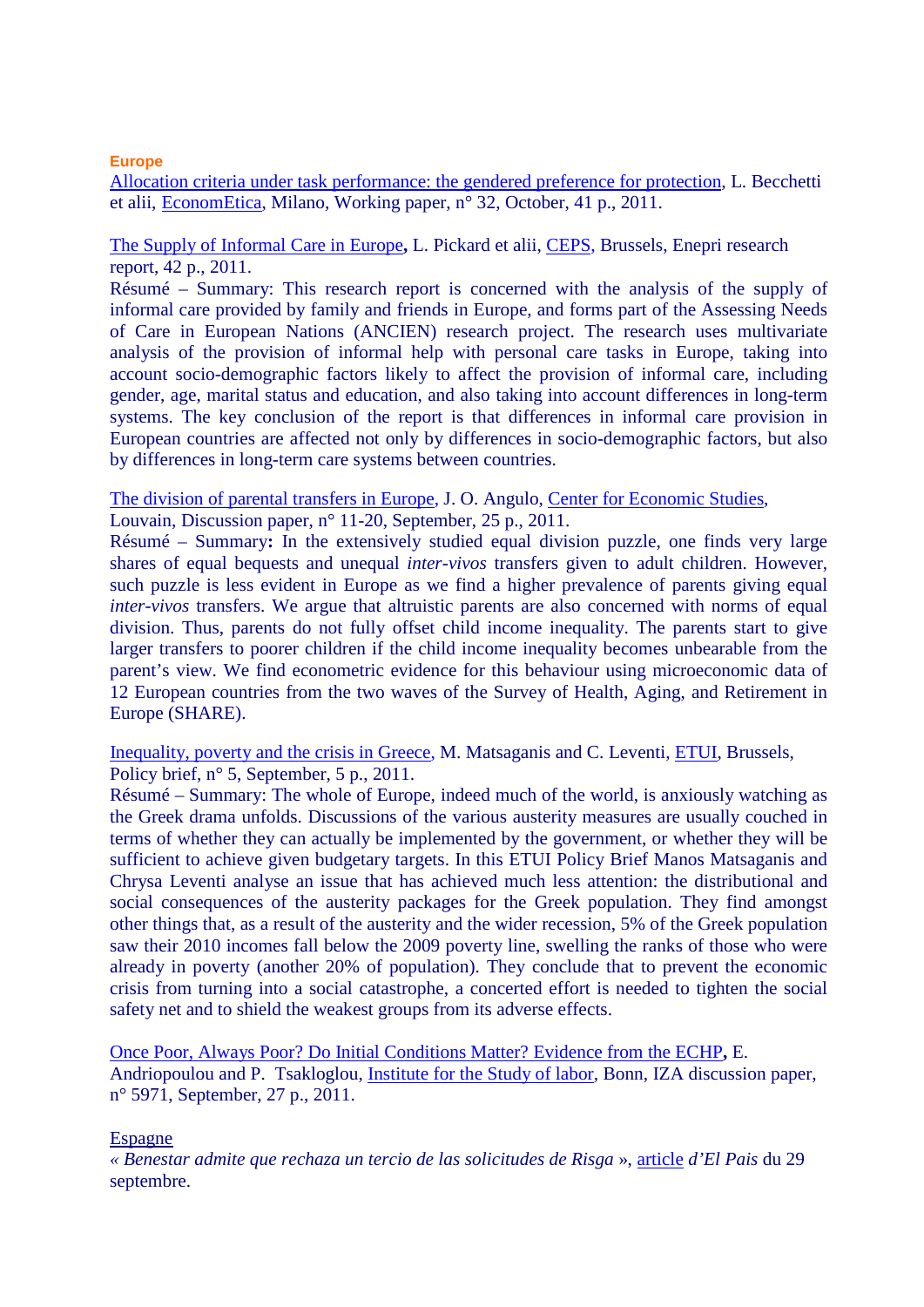## **Europe**

[Allocation criteria under task performance: the gendered preference for protection](http://www.econometica.it/wp/wp32.pdf)*,* L. Becchetti et alii, [EconomEtica,](http://www.econometica.it/wp/index.htm) Milano, Working paper, n° 32, October, 41 p., 2011.

# [The Supply of Informal Care in Europe](http://www.ceps.eu/ceps/download/6116)**,** L. Pickard et alii, [CEPS,](http://www.ceps.eu/home) Brussels, Enepri research report, 42 p., 2011.

Résumé – Summary: This research report is concerned with the analysis of the supply of informal care provided by family and friends in Europe, and forms part of the Assessing Needs of Care in European Nations (ANCIEN) research project. The research uses multivariate analysis of the provision of informal help with personal care tasks in Europe, taking into account socio-demographic factors likely to affect the provision of informal care, including gender, age, marital status and education, and also taking into account differences in long-term systems. The key conclusion of the report is that differences in informal care provision in European countries are affected not only by differences in socio-demographic factors, but also by differences in long-term care systems between countries.

## [The division of parental transfers in Europe,](http://www.econ.kuleuven.be/ces/discussionpapers/Dps11/DPS1120.pdf) J. O. Angulo, [Center for Economic Studies,](http://www.econ.kuleuven.be/ces/)

Louvain, Discussion paper, n° 11-20, September, 25 p., 2011.

Résumé – Summary**:** In the extensively studied equal division puzzle, one finds very large shares of equal bequests and unequal *inter-vivos* transfers given to adult children. However, such puzzle is less evident in Europe as we find a higher prevalence of parents giving equal *inter-vivos* transfers. We argue that altruistic parents are also concerned with norms of equal division. Thus, parents do not fully offset child income inequality. The parents start to give larger transfers to poorer children if the child income inequality becomes unbearable from the parent's view. We find econometric evidence for this behaviour using microeconomic data of 12 European countries from the two waves of the Survey of Health, Aging, and Retirement in Europe (SHARE).

[Inequality, poverty and the crisis in Greece,](http://www.etui.org/content/download/4373/45339/file/Policy+Brief-Blue-Issue5-2011-EN.pdf) M. Matsaganis and C. Leventi, [ETUI,](http://www.etui.org/) Brussels, Policy brief, n° 5, September, 5 p., 2011.

Résumé – Summary: The whole of Europe, indeed much of the world, is anxiously watching as the Greek drama unfolds. Discussions of the various austerity measures are usually couched in terms of whether they can actually be implemented by the government, or whether they will be sufficient to achieve given budgetary targets. In this ETUI Policy Brief Manos Matsaganis and Chrysa Leventi analyse an issue that has achieved much less attention: the distributional and social consequences of the austerity packages for the Greek population. They find amongst other things that, as a result of the austerity and the wider recession, 5% of the Greek population saw their 2010 incomes fall below the 2009 poverty line, swelling the ranks of those who were already in poverty (another 20% of population). They conclude that to prevent the economic crisis from turning into a social catastrophe, a concerted effort is needed to tighten the social safety net and to shield the weakest groups from its adverse effects.

[Once Poor, Always Poor? Do Initial Conditions Matter? Evidence from the ECHP](http://ftp.iza.org/dp5971.pdf)**,** E. Andriopoulou and P. Tsakloglou, [Institute for the Study of labor,](http://www.iza.org/en/webcontent/index_html) Bonn, IZA discussion paper, n° 5971, September, 27 p., 2011.

## Espagne

*« Benestar admite que rechaza un tercio de las solicitudes de Risga* », [article](http://www.elpais.com/articulo/Galicia/Benestar/admite/rechaza/tercio/solicitudes/Risga/elpepuespgal/20110929elpgal_6/Tes) *d'El Pais* du 29 septembre.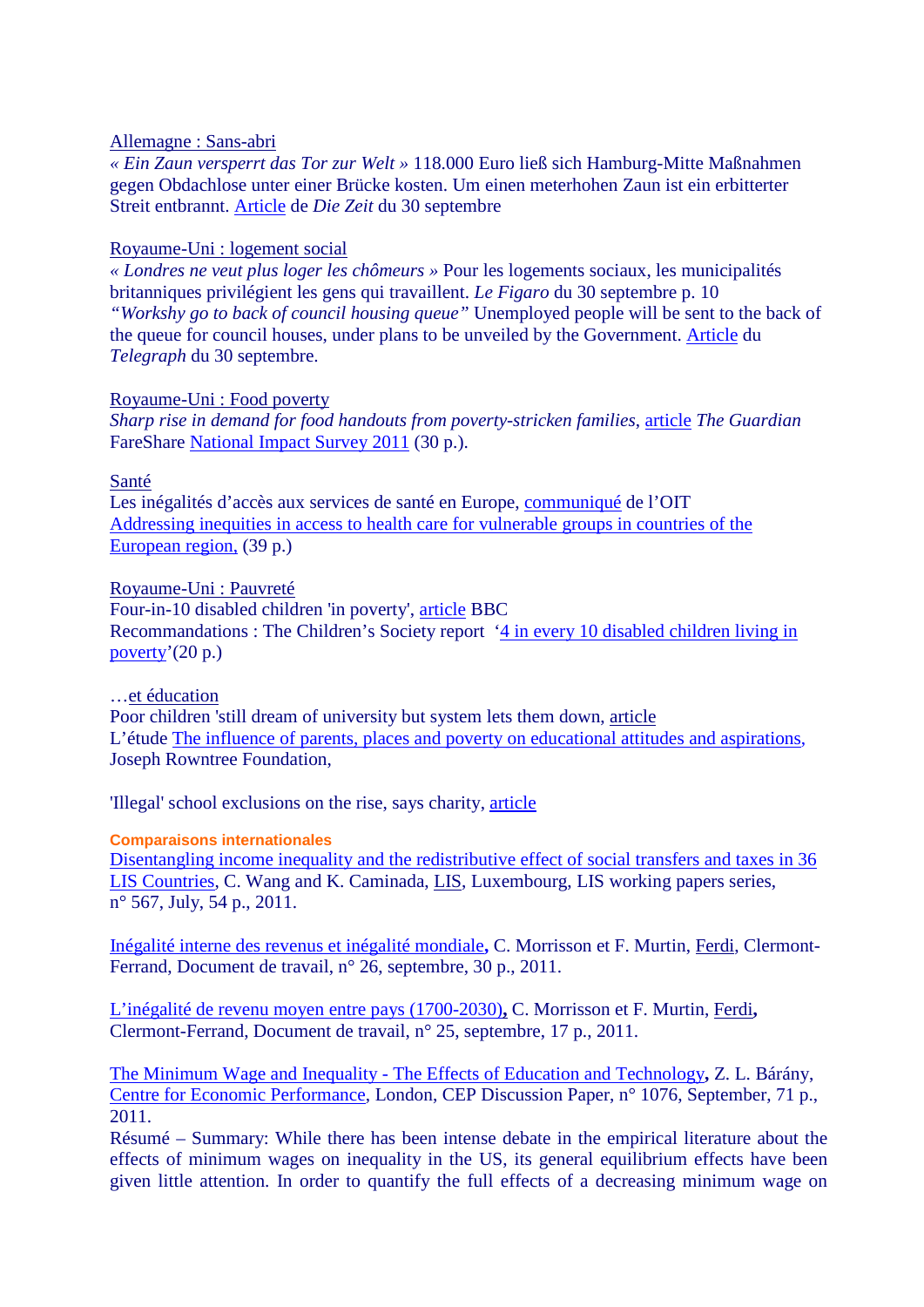## Allemagne : Sans-abri

*« Ein Zaun versperrt das Tor zur Welt »* 118.000 Euro ließ sich Hamburg-Mitte Maßnahmen gegen Obdachlose unter einer Brücke kosten. Um einen meterhohen Zaun ist ein erbitterter Streit entbrannt. [Article](http://www.zeit.de/gesellschaft/zeitgeschehen/2011-09/zaun-hamburg) de *Die Zeit* du 30 septembre

# Royaume-Uni : logement social

*« Londres ne veut plus loger les chômeurs »* Pour les logements sociaux, les municipalités britanniques privilégient les gens qui travaillent. *Le Figaro* du 30 septembre p. 10 *"Workshy go to back of council housing queue"* Unemployed people will be sent to the back of the queue for council houses, under plans to be unveiled by the Government. [Article](http://www.telegraph.co.uk/news/politics/8795729/Workshy-go-to-back-of-council-housing-queue.html) du *Telegraph* du 30 septembre.

# Royaume-Uni : Food poverty

*Sharp rise in demand for food handouts from poverty-stricken families*, [article](http://www.guardian.co.uk/society/2011/oct/01/sharp-rise-demand-food-handouts?newsfeed=true) *The Guardian* FareShare [National Impact Survey 2011](http://www.fareshare.org.uk/wordpress/wp-content/uploads/2011/10/Report-online.pdf) (30 p.).

## Santé

Les inégalités d'accès aux services de santé en Europe, [communiqué](http://www.ilo.org/global/about-the-ilo/press-and-media-centre/insight/WCMS_164660/lang--fr/index.htm) de l'OIT [Addressing inequities in access to health care for vulnerable groups in countries of the](http://www.ilo.org/gimi/gess/RessFileDownload.do;jsessionid=8752e674876a61f24e98bf66919baf458cb4044ddae19e1291c0c23b8f22e1d4.e3aTbhuLbNmSe34Mby0?ressourceId=25201)  [European region,](http://www.ilo.org/gimi/gess/RessFileDownload.do;jsessionid=8752e674876a61f24e98bf66919baf458cb4044ddae19e1291c0c23b8f22e1d4.e3aTbhuLbNmSe34Mby0?ressourceId=25201) (39 p.)

# Royaume-Uni : Pauvreté

Four-in-10 disabled children 'in poverty', [article](http://www.bbc.co.uk/news/education-15206416) BBC Recommandations : The Children's Society report ['4 in every 10 disabled children living in](http://www.childrenssociety.org.uk/sites/default/files/tcs/4_in_10_reportfinal.pdf)  [poverty'](http://www.childrenssociety.org.uk/sites/default/files/tcs/4_in_10_reportfinal.pdf)(20 p.)

# …et éducation

Poor children 'still dream of university but system lets them down, [article](http://news.scotsman.com/education/Poor-children-39still-dream-of.6848491.jp) L'étude [The influence of parents, places and poverty on educational attitudes and aspirations,](http://josephrowntreefoundation.createsend5.com/t/y/l/gjhjll/ktdjdkiyu/d/) Joseph Rowntree Foundation,

'Illegal' school exclusions on the rise, says charity, [article](http://www.bbc.co.uk/news/education-15185863)

## **Comparaisons internationales**

[Disentangling income inequality and the redistributive effect of social transfers and taxes in 36](http://www.lisdatacenter.org/wps/liswps/567.pdf)  [LIS Countries,](http://www.lisdatacenter.org/wps/liswps/567.pdf) C. Wang and K. Caminada, [LIS,](http://www.lisdatacenter.org/) Luxembourg, LIS working papers series, n° 567, July, 54 p., 2011.

[Inégalité interne des revenus et inégalité mondiale](http://www.ferdi.fr/uploads/sfCmsContent/html/112/Ferdi-P26-Morrisson-Murtin-1.pdf)**,** C. Morrisson et F. Murtin, [Ferdi,](http://www.ferdi.fr/) Clermont-Ferrand, Document de travail, n° 26, septembre, 30 p., 2011.

[L'inégalité de revenu moyen entre pays \(1700-2030\)](http://www.ferdi.fr/uploads/sfCmsContent/html/112/Ferdi-P25-Morrisson-Murtin-1.pdf)**,** C. Morrisson et F. Murtin, [Ferdi](http://www.ferdi.fr/)**,** Clermont-Ferrand, Document de travail, n° 25, septembre, 17 p., 2011.

The Minimum Wage and Inequality - [The Effects of Education and Technology](http://cep.lse.ac.uk/pubs/download/dp1076.pdf)**,** Z. L. Bárány, [Centre for Economic Performance,](http://cep.lse.ac.uk/) London, CEP Discussion Paper, n° 1076, September, 71 p., 2011.

Résumé – Summary: While there has been intense debate in the empirical literature about the effects of minimum wages on inequality in the US, its general equilibrium effects have been given little attention. In order to quantify the full effects of a decreasing minimum wage on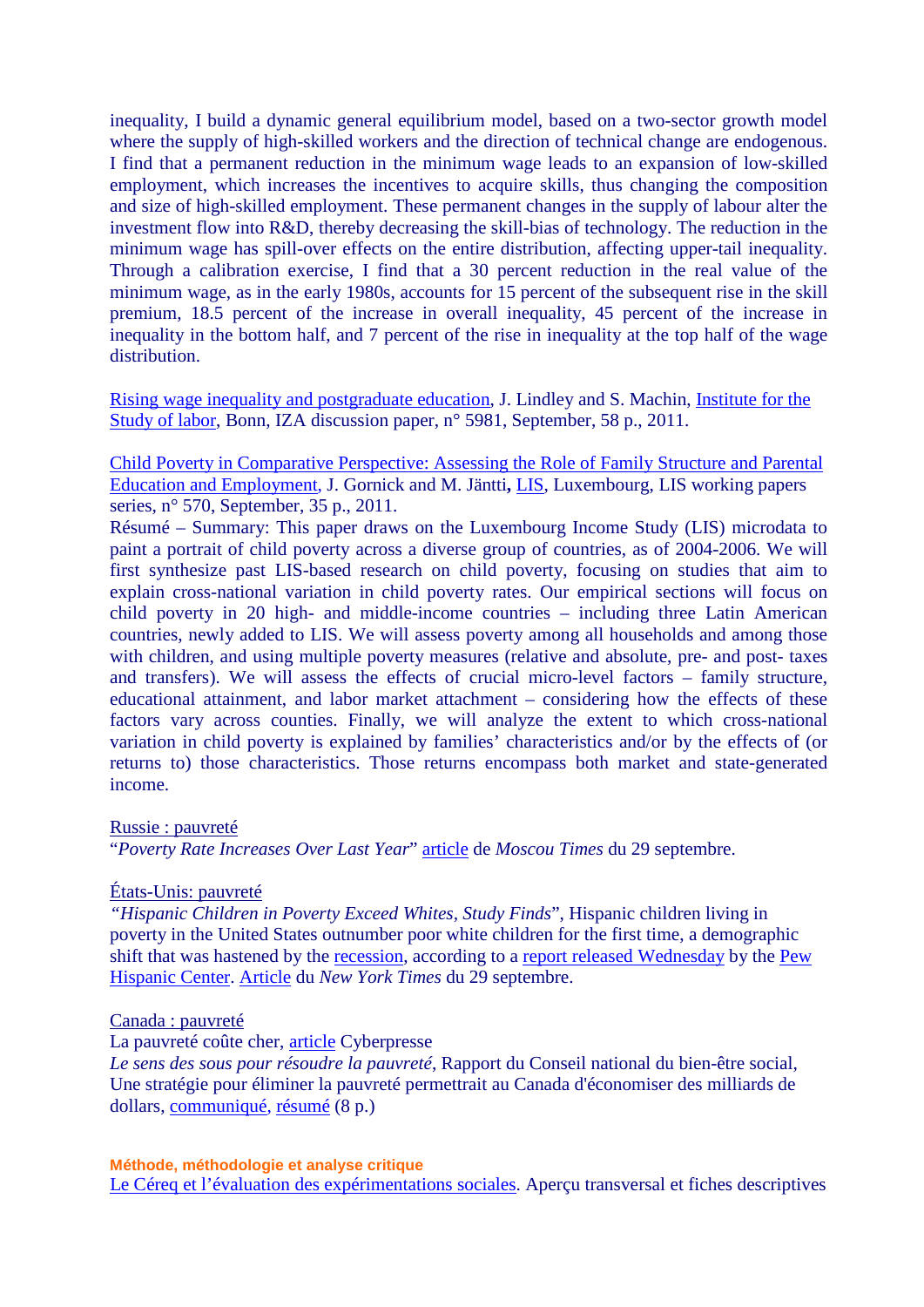inequality, I build a dynamic general equilibrium model, based on a two-sector growth model where the supply of high-skilled workers and the direction of technical change are endogenous. I find that a permanent reduction in the minimum wage leads to an expansion of low-skilled employment, which increases the incentives to acquire skills, thus changing the composition and size of high-skilled employment. These permanent changes in the supply of labour alter the investment flow into R&D, thereby decreasing the skill-bias of technology. The reduction in the minimum wage has spill-over effects on the entire distribution, affecting upper-tail inequality. Through a calibration exercise, I find that a 30 percent reduction in the real value of the minimum wage, as in the early 1980s, accounts for 15 percent of the subsequent rise in the skill premium, 18.5 percent of the increase in overall inequality, 45 percent of the increase in inequality in the bottom half, and 7 percent of the rise in inequality at the top half of the wage distribution.

[Rising wage inequality and postgraduate education,](http://ftp.iza.org/dp5981.pdf) J. Lindley and S. Machin, [Institute for the](http://www.iza.org/en/webcontent/index_html)  [Study of labor,](http://www.iza.org/en/webcontent/index_html) Bonn, IZA discussion paper, n° 5981, September, 58 p., 2011.

[Child Poverty in Comparative Perspective: Assessing the Role of Family Structure and Parental](http://www.lisdatacenter.org/wps/liswps/570.pdf)  [Education and Employment,](http://www.lisdatacenter.org/wps/liswps/570.pdf) J. Gornick and M. Jäntti**,** [LIS,](http://www.lisdatacenter.org/) Luxembourg, LIS working papers series, n° 570, September, 35 p., 2011.

Résumé – Summary: This paper draws on the Luxembourg Income Study (LIS) microdata to paint a portrait of child poverty across a diverse group of countries, as of 2004-2006. We will first synthesize past LIS-based research on child poverty, focusing on studies that aim to explain cross-national variation in child poverty rates. Our empirical sections will focus on child poverty in 20 high- and middle-income countries – including three Latin American countries, newly added to LIS. We will assess poverty among all households and among those with children, and using multiple poverty measures (relative and absolute, pre- and post- taxes and transfers). We will assess the effects of crucial micro-level factors – family structure, educational attainment, and labor market attachment – considering how the effects of these factors vary across counties. Finally, we will analyze the extent to which cross-national variation in child poverty is explained by families' characteristics and/or by the effects of (or returns to) those characteristics. Those returns encompass both market and state-generated income.

#### Russie : pauvreté

"*Poverty Rate Increases Over Last Year*" [article](http://www.themoscowtimes.com/business/article/increase-in-poverty-confirms-social-imbalance/444494.html) de *Moscou Times* du 29 septembre.

#### États-Unis: pauvreté

*"Hispanic Children in Poverty Exceed Whites, Study Finds*", Hispanic children living in poverty in the United States outnumber poor white children for the first time, a demographic shift that was hastened by the [recession,](http://topics.nytimes.com/top/reference/timestopics/subjects/r/recession_and_depression/index.html?inline=nyt-classifier) according to a [report released Wednesday](http://pewhispanic.org/reports/report.php?ReportID=147) by the [Pew](http://pewhispanic.org/)  [Hispanic Center.](http://pewhispanic.org/) [Article](http://www.nytimes.com/2011/09/29/us/hispanic-children-in-poverty-surpass-whites-study-finds.html?ref=us) du *New York Times* du 29 septembre.

#### Canada : pauvreté

#### La pauvreté coûte cher, [article](http://www.cyberpresse.ca/le-soleil/opinions/editoriaux/201110/02/01-4453534-la-pauvrete-coute-cher.php) Cyberpresse

*Le sens des sous pour résoudre la pauvreté*, Rapport du Conseil national du bien-être social, Une stratégie pour éliminer la pauvreté permettrait au Canada d'économiser des milliards de dollars, [communiqué,](http://www.ncw.gc.ca/servlet/wlfrpub?lang=fra&curjsp=l.3bd.2t.1.3ls@-fra.jsp&curactn=dwnld&lid=444&fid=2) [résumé](http://www.ncw.gc.ca/servlet/wlfrpub?lang=fra&curjsp=l.3bd.2t.1.3ls@-fra.jsp&curactn=dwnld&lid=434&fid=2) (8 p.)

**Méthode, méthodologie et analyse critique** [Le Céreq et l'évaluation des expérimentations sociales.](http://www.cereq.fr/index.php/content/download/2650/30158/file/netdoc84.pdf) Aperçu transversal et fiches descriptives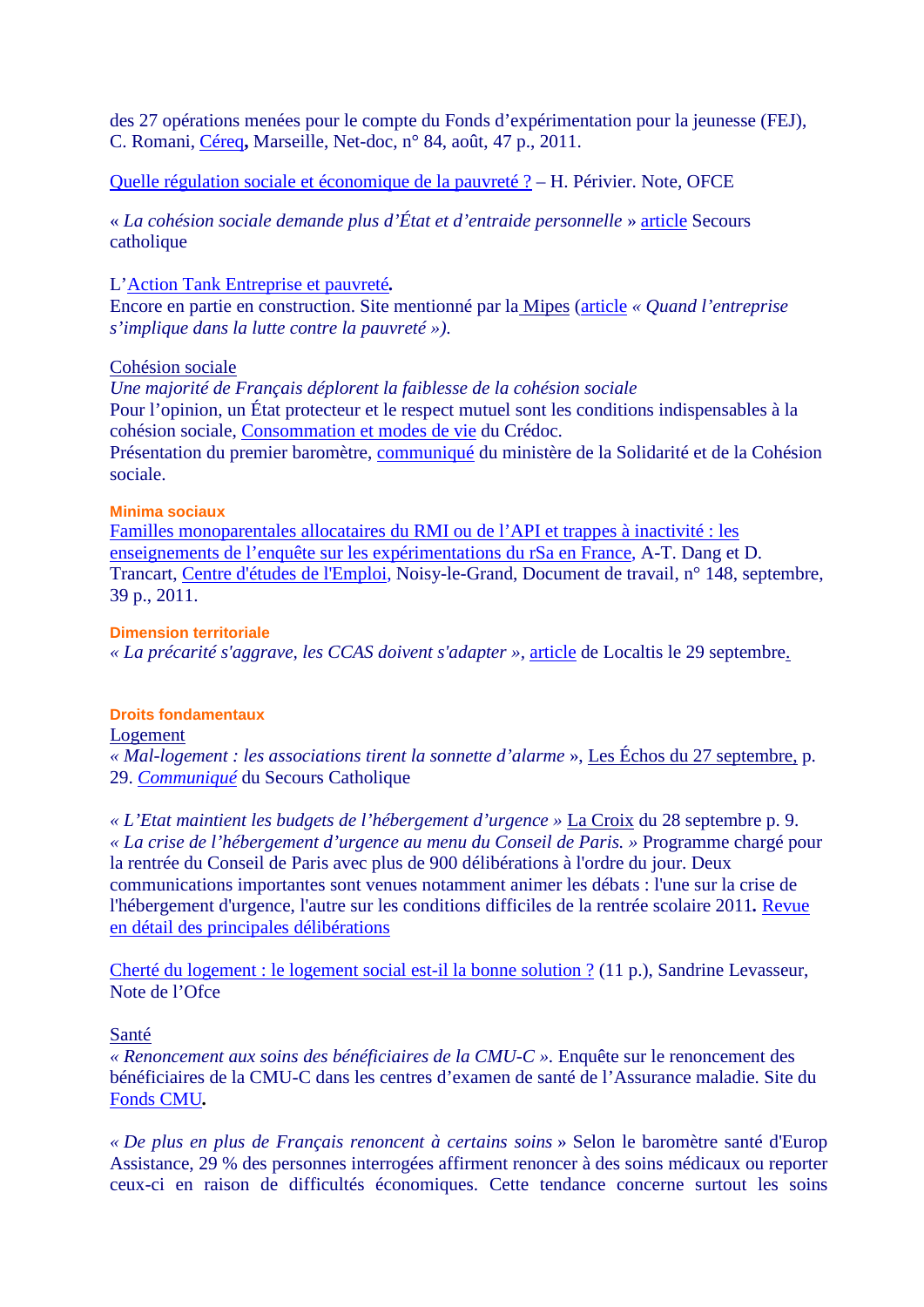des 27 opérations menées pour le compte du Fonds d'expérimentation pour la jeunesse (FEJ), C. Romani, [Céreq](http://www.cereq.fr/)**,** Marseille, Net-doc, n° 84, août, 47 p., 2011.

[Quelle régulation sociale et économique de la pauvreté ?](http://www.ofce.sciences-po.fr/pdf/notes/note1.pdf) *–* H. Périvier. Note, OFCE

« *La cohésion sociale demande plus d'État et d'entraide personnelle* » [article](http://www.secours-catholique.org/actualite/la-cohesion-sociale-demande-plus-d-etat-et-d-entraide,10143.html) Secours catholique

L['Action Tank Entreprise et pauvreté](http://www.at-entreprise-pauvrete.org/)*.*

Encore en partie en construction. Site mentionné par la Mipes [\(article](http://www.mipes.org/Quand-l-entreprise-s-implique-dans.html) *« Quand l'entreprise s'implique dans la lutte contre la pauvreté »)*.

## Cohésion sociale

*Une majorité de Français déplorent la faiblesse de la cohésion sociale*  Pour l'opinion, un État protecteur et le respect mutuel sont les conditions indispensables à la cohésion sociale, [Consommation et modes de vie](http://www.credoc.fr/pdf/4p/243.pdf) du Crédoc. Présentation du premier baromètre, [communiqué](http://www.solidarite.gouv.fr/espaces,770/social,793/dossiers,794/barometre-de-la-cohesion-sociale,2068/presentation-du-premier-barometre,13674.html) du ministère de la Solidarité et de la Cohésion sociale.

#### **Minima sociaux**

[Familles monoparentales allocataires du RMI ou de l'API et trappes à inactivité : les](http://www.cee-recherche.fr/fr/doctrav/148-familles-monoparentales-allocataires-rmi-rsa-api-experimentations.pdf)  [enseignements de l'enquête sur les expérimentations du rSa en France,](http://www.cee-recherche.fr/fr/doctrav/148-familles-monoparentales-allocataires-rmi-rsa-api-experimentations.pdf) A-T. Dang et D. Trancart, [Centre d'études de l'Emploi,](http://www.cee-recherche.fr/) Noisy-le-Grand, Document de travail, n° 148, septembre, 39 p., 2011.

### **Dimension territoriale**

*« La précarité s'aggrave, les CCAS doivent s'adapter »,* [article](http://www.localtis.info/cs/ContentServer?pagename=Localtis/LOCActu/ArticleActualite&jid=1250262471087&cid=1250262468416) de Localtis le 29 septembre.

## **Droits fondamentaux**

#### Logement

*« Mal-logement : les associations tirent la sonnette d'alarme* », Les Échos du 27 septembre, p. 29. *[Communiqué](http://www.secours-catholique.org/actualite/le-logement-en-situation-de-crise-humanitaire,10123.html)* du Secours Catholique

*« L'Etat maintient les budgets de l'hébergement d'urgence »* La Croix du 28 septembre p. 9. *« La crise de l'hébergement d'urgence au menu du Conseil de Paris. »* Programme chargé pour la rentrée du Conseil de Paris avec plus de 900 délibérations à l'ordre du jour. Deux communications importantes sont venues notamment animer les débats : l'une sur la crise de l'hébergement d'urgence, l'autre sur les conditions difficiles de la rentrée scolaire 2011*.* [Revue](http://www.paris.fr/publications/newsletters/conseil-de-paris-de-septembre/rub_9128_actu_106095_port_22182)  [en détail des principales délibérations](http://www.paris.fr/publications/newsletters/conseil-de-paris-de-septembre/rub_9128_actu_106095_port_22182)

[Cherté du logement : le logement social est-il la bonne solution ?](http://www.ofce.sciences-po.fr/pdf/notes/note4.pdf) (11 p.), Sandrine Levasseur, Note de l'Ofce

## Santé

*« Renoncement aux soins des bénéficiaires de la CMU-C ».* Enquête sur le renoncement des bénéficiaires de la CMU-C dans les centres d'examen de santé de l'Assurance maladie. Site du [Fonds CMU](http://www.cmu.fr/)*.*

*« De plus en plus de Français renoncent à certains soins* » Selon le baromètre santé d'Europ Assistance, 29 % des personnes interrogées affirment renoncer à des soins médicaux ou reporter ceux-ci en raison de difficultés économiques. Cette tendance concerne surtout les soins